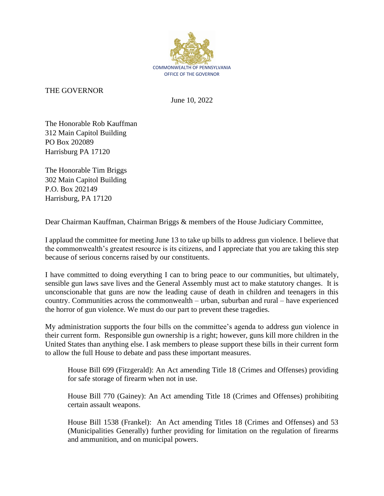

THE GOVERNOR

June 10, 2022

The Honorable Rob Kauffman 312 Main Capitol Building PO Box 202089 Harrisburg PA 17120

The Honorable Tim Briggs 302 Main Capitol Building P.O. Box 202149 Harrisburg, PA 17120

Dear Chairman Kauffman, Chairman Briggs & members of the House Judiciary Committee,

I applaud the committee for meeting June 13 to take up bills to address gun violence. I believe that the commonwealth's greatest resource is its citizens, and I appreciate that you are taking this step because of serious concerns raised by our constituents.

I have committed to doing everything I can to bring peace to our communities, but ultimately, sensible gun laws save lives and the General Assembly must act to make statutory changes. It is unconscionable that guns are now the leading cause of death in children and teenagers in this country. Communities across the commonwealth – urban, suburban and rural – have experienced the horror of gun violence. We must do our part to prevent these tragedies.

My administration supports the four bills on the committee's agenda to address gun violence in their current form. Responsible gun ownership is a right; however, guns kill more children in the United States than anything else. I ask members to please support these bills in their current form to allow the full House to debate and pass these important measures.

House Bill 699 (Fitzgerald): An Act amending Title 18 (Crimes and Offenses) providing for safe storage of firearm when not in use.

House Bill 770 (Gainey): An Act amending Title 18 (Crimes and Offenses) prohibiting certain assault weapons.

House Bill 1538 (Frankel): An Act amending Titles 18 (Crimes and Offenses) and 53 (Municipalities Generally) further providing for limitation on the regulation of firearms and ammunition, and on municipal powers.